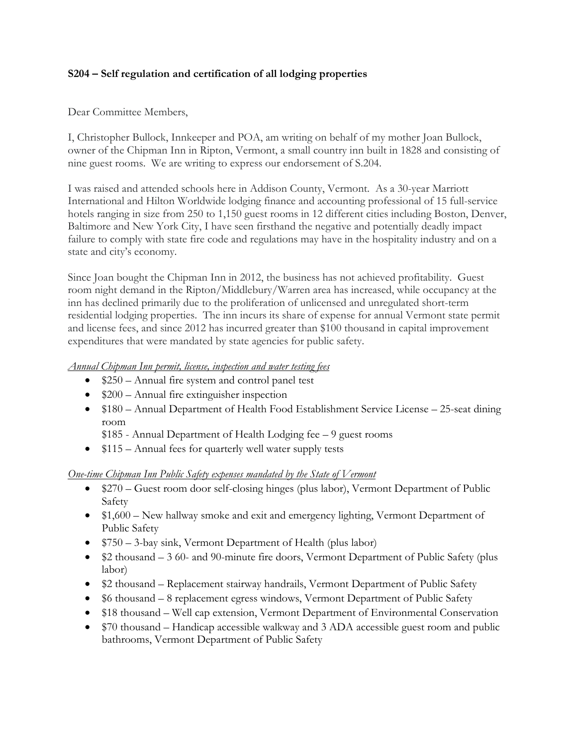## **S204 – Self regulation and certification of all lodging properties**

Dear Committee Members,

I, Christopher Bullock, Innkeeper and POA, am writing on behalf of my mother Joan Bullock, owner of the Chipman Inn in Ripton, Vermont, a small country inn built in 1828 and consisting of nine guest rooms. We are writing to express our endorsement of S.204.

I was raised and attended schools here in Addison County, Vermont. As a 30-year Marriott International and Hilton Worldwide lodging finance and accounting professional of 15 full-service hotels ranging in size from 250 to 1,150 guest rooms in 12 different cities including Boston, Denver, Baltimore and New York City, I have seen firsthand the negative and potentially deadly impact failure to comply with state fire code and regulations may have in the hospitality industry and on a state and city's economy.

Since Joan bought the Chipman Inn in 2012, the business has not achieved profitability. Guest room night demand in the Ripton/Middlebury/Warren area has increased, while occupancy at the inn has declined primarily due to the proliferation of unlicensed and unregulated short-term residential lodging properties. The inn incurs its share of expense for annual Vermont state permit and license fees, and since 2012 has incurred greater than \$100 thousand in capital improvement expenditures that were mandated by state agencies for public safety.

## *Annual Chipman Inn permit, license, inspection and water testing fees*

- \$250 Annual fire system and control panel test
- $\bullet$  \$200 Annual fire extinguisher inspection
- $$180 Annual Department of Health Food Establishment Service License 25-seat during$ room
	- \$185 Annual Department of Health Lodging fee 9 guest rooms
- \$115 Annual fees for quarterly well water supply tests

## *One-time Chipman Inn Public Safety expenses mandated by the State of Vermont*

- \$270 Guest room door self-closing hinges (plus labor), Vermont Department of Public Safety
- \$1,600 New hallway smoke and exit and emergency lighting, Vermont Department of Public Safety
- $$750 3$ -bay sink, Vermont Department of Health (plus labor)
- \$2 thousand 3 60- and 90-minute fire doors, Vermont Department of Public Safety (plus labor)
- \$2 thousand Replacement stairway handrails, Vermont Department of Public Safety
- \$6 thousand 8 replacement egress windows, Vermont Department of Public Safety
- \$18 thousand Well cap extension, Vermont Department of Environmental Conservation
- \$70 thousand Handicap accessible walkway and 3 ADA accessible guest room and public bathrooms, Vermont Department of Public Safety